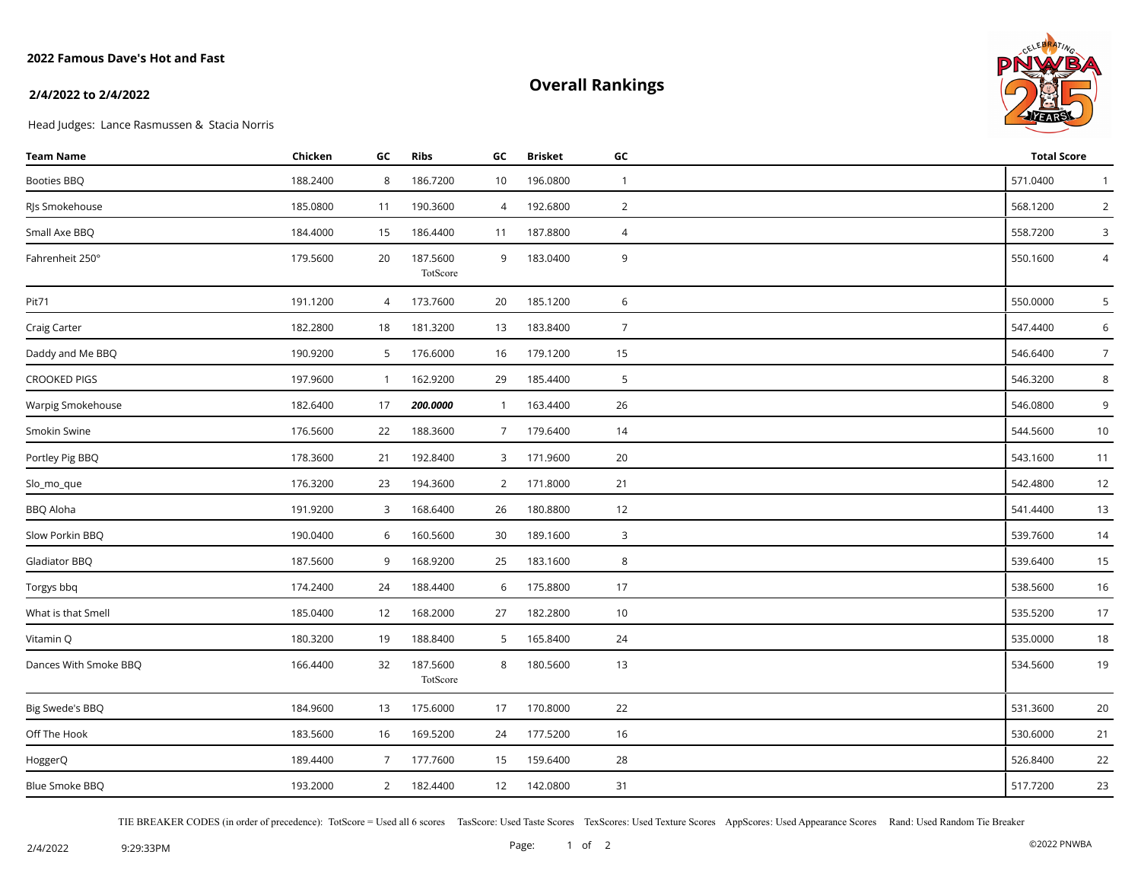## **2022 Famous Dave's Hot and Fast**

# **Overall Rankings**



#### **2/4/2022 to 2/4/2022**

Head Judges: Lance Rasmussen & Stacia Norris

| <b>Team Name</b>      | Chicken  | GC             | <b>Ribs</b>          | GC              | <b>Brisket</b> | GC             | <b>Total Score</b> |                 |
|-----------------------|----------|----------------|----------------------|-----------------|----------------|----------------|--------------------|-----------------|
| Booties BBQ           | 188.2400 | 8              | 186.7200             | 10              | 196.0800       | $\mathbf{1}$   | 571.0400           | $\mathbf{1}$    |
| RJs Smokehouse        | 185.0800 | 11             | 190.3600             | $\overline{4}$  | 192.6800       | $\overline{2}$ | 568.1200           | $\overline{2}$  |
| Small Axe BBQ         | 184.4000 | 15             | 186.4400             | 11              | 187.8800       | $\overline{4}$ | 558.7200           | 3               |
| Fahrenheit 250°       | 179.5600 | 20             | 187.5600<br>TotScore | 9               | 183.0400       | 9              | 550.1600           | 4               |
| Pit71                 | 191.1200 | $\overline{4}$ | 173.7600             | 20              | 185.1200       | 6              | 550.0000           | 5               |
| Craig Carter          | 182.2800 | 18             | 181.3200             | 13              | 183.8400       | $\overline{7}$ | 547.4400           | 6               |
| Daddy and Me BBQ      | 190.9200 | 5              | 176.6000             | 16              | 179.1200       | 15             | 546.6400           | $7\overline{ }$ |
| <b>CROOKED PIGS</b>   | 197.9600 | $\mathbf{1}$   | 162.9200             | 29              | 185.4400       | 5              | 546.3200           | 8               |
| Warpig Smokehouse     | 182.6400 | 17             | 200.0000             | $\mathbf{1}$    | 163.4400       | 26             | 546.0800           | 9               |
| Smokin Swine          | 176.5600 | 22             | 188.3600             | $7\overline{ }$ | 179.6400       | 14             | 544.5600           | 10              |
| Portley Pig BBQ       | 178.3600 | 21             | 192.8400             | $\mathbf{3}$    | 171.9600       | 20             | 543.1600           | 11              |
| Slo_mo_que            | 176.3200 | 23             | 194.3600             | $\overline{2}$  | 171.8000       | 21             | 542.4800           | 12              |
| BBQ Aloha             | 191.9200 | 3              | 168.6400             | 26              | 180.8800       | 12             | 541.4400           | 13              |
| Slow Porkin BBQ       | 190.0400 | 6              | 160.5600             | 30              | 189.1600       | $\mathbf{3}$   | 539.7600           | 14              |
| Gladiator BBQ         | 187.5600 | 9              | 168.9200             | 25              | 183.1600       | 8              | 539.6400           | 15              |
| Torgys bbq            | 174.2400 | 24             | 188.4400             | 6               | 175.8800       | 17             | 538.5600           | 16              |
| What is that Smell    | 185.0400 | 12             | 168.2000             | 27              | 182.2800       | 10             | 535.5200           | 17              |
| Vitamin Q             | 180.3200 | 19             | 188.8400             | 5               | 165.8400       | 24             | 535.0000           | 18              |
| Dances With Smoke BBQ | 166.4400 | 32             | 187.5600<br>TotScore | 8               | 180.5600       | 13             | 534.5600           | 19              |
| Big Swede's BBQ       | 184.9600 | 13             | 175.6000             | 17              | 170.8000       | 22             | 531.3600           | 20              |
| Off The Hook          | 183.5600 | 16             | 169.5200             | 24              | 177.5200       | 16             | 530.6000           | 21              |
| HoggerQ               | 189.4400 | $7^{\circ}$    | 177.7600             | 15              | 159.6400       | 28             | 526.8400           | 22              |
| Blue Smoke BBQ        | 193.2000 | $\overline{2}$ | 182.4400             | 12              | 142.0800       | 31             | 517.7200           | 23              |

TIE BREAKER CODES (in order of precedence): TotScore = Used all 6 scores TasScore: Used Taste Scores TexScores: Used Texture Scores AppScores: Used Appearance Scores Rand: Used Random Tie Breaker